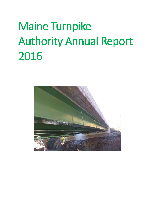# Maine Turnpike Authority Annual Report 2016

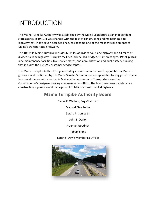# INTRODUCTION

The Maine Turnpike Authority was established by the Maine Legislature as an independent state agency in 1941. It was charged with the task of constructing and maintaining a toll highway that, in the seven decades since, has become one of the most critical elements of Maine's transportation network.

The 109 mile Maine Turnpike includes 65 miles of divided four-lane highway and 44 miles of divided six-lane highway. Turnpike facilities include 184 bridges, 19 interchanges, 19 toll plazas, nine maintenance facilities, five service plazas, and administration and public safety building that includes the E-ZPASS customer service center.

The Maine Turnpike Authority is governed by a seven-member board, appointed by Maine's governor and confirmed by the Maine Senate. Six members are appointed to staggered six-year terms and the seventh member is Maine's Commissioner of Transportation or the Commissioner's designee, serving as a member ex-officio. The board oversees maintenance, construction, operation and management of Maine's most traveled highway.

## **Maine Turnpike Authority Board**

Daniel E. Wathen, Esq. Chairman Michael Cianchette Gerard P. Conley Sr. John E. Dority Freeman Goodrich

Robert Stone

Karen S. Doyle Member Ex Officio

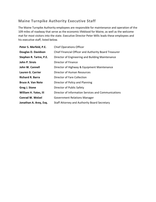## **Maine Turnpike Authority Executive Staff**

The Maine Turnpike Authority employees are responsible for maintenance and operation of the 109 miles of roadway that serve as the economic lifeblood for Maine, as well as the welcome mat for most visitors into the state. Executive Director Peter Mills leads these employees and his executive staff, listed below.

| Peter S. Merfeld, P.E.   | <b>Chief Operations Officer</b>                       |
|--------------------------|-------------------------------------------------------|
| Douglas D. Davidson      | Chief Financial Officer and Authority Board Treasurer |
| Stephen R. Tartre, P.E.  | Director of Engineering and Building Maintenance      |
| John P. Sirois           | Director of Finance                                   |
| John W. Cannell          | Director of Highway & Equipment Maintenance           |
| Lauren G. Carrier        | Director of Human Resources                           |
| <b>Richard R. Barra</b>  | Director of Fare Collection                           |
| <b>Bruce A. Van Note</b> | Director of Policy and Planning                       |
| Greg J. Stone            | Director of Public Safety                             |
| William H. Yates, III    | Director of Information Services and Communications   |
| <b>Conrad W. Welzel</b>  | <b>Government Relations Manager</b>                   |
| Jonathan A. Arey, Esq.   | Staff Attorney and Authority Board Secretary          |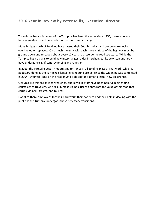### **2016 Year in Review by Peter Mills, Executive Director**

Though the basic alignment of the Turnpike has been the same since 1955, those who work here every day know how much the road constantly changes.

Many bridges north of Portland have passed their 60th birthdays and are being re-decked, overhauled or replaced. On a much shorter cycle, each travel surface of the highway must be ground down and re-paved about every 12 years to preserve the road structure. While the Turnpike has no plans to build new interchanges, older interchanges like Lewiston and Gray have undergone significant revamping and redesign.

In 2013, the Turnpike began modernizing toll lanes in all 19 of its plazas. That work, which is about 2/3 done, is the Turnpike's largest engineering project since the widening was completed in 2004. Every toll lane on the road must be closed for a time to install new electronics.

Closures like this are an inconvenience, but Turnpike staff have been helpful in extending courtesies to travelers. As a result, most Maine citizens appreciate the value of this road that carries Mainers, freight, and tourists.

I want to thank employees for their hard work, their patience and their help in dealing with the public as the Turnpike undergoes these necessary transitions.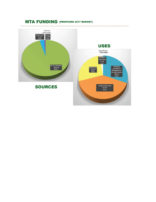## MTA FUNDING (PROPOSED 2017 BUDGET)

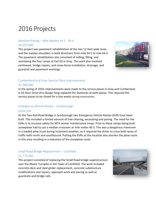# 2016 Projects

#### Mainline Paving – Mile Marker 54.5 - 64.4 \$6,351,600

This project was pavement rehabilitation of the two 12-foot wide lanes and the median shoulders in both directions from mile 54.5 to mile 64.4. The pavement rehabilitation also consisted of milling, filling, and overlaying the four ramps at Exit 63 in Gray. The work also involved earthwork, bridge repairs, and snow fence installation, drainage, and guardrail and pavement markings.



#### Cumberland and Gray Service Plaza Improvements \$1,300,000

In the spring of 2016, improvements were made to the service plazas in Gray and Cumberland. A 24-Hour Drive-thru Burger King replaced the Starbucks at both plazas. This required the service plazas to be closed for a few weeks during construction.

#### Emergency Vehicle Ramps – Scarborough \$254,250

At the Two Rod Road Bridge in Scarborough two Emergency Vehicle Ramps (EVR) have been built. This included a limited amount of tree clearing, excavating and paving. The need for the EVRs is to increase safety for MTA winter maintenance crews. Prior to these ramps being built snowplows had to use a median crossover at mile maker 40.3. This was a dangerous maneuver in a loaded plow truck during inclement weather, as it required the driver to cross both lanes of traffic both north and southbound. Putting the EVRs at this location also shorten the plow route in this area resulting in a reduction of the snowplow route.

#### Small Road Bridge Replacement – Litchfield \$1,773,492

This project consisted of replacing the Small Road bridge superstructure over the Maine Turnpike in the Town of Litchfield. The work included concrete deck and steel girder replacement, concrete substructure modifications and repairs, approach work and paving as well as guardrails and bridge rails.

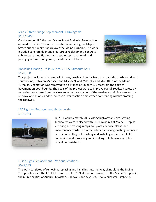#### [Maple Street Bridge Replacement -Farmingdale](http://www.maineturnpike.com/Projects-Planning/Construction-Projects/2016-04-Maple-Street-Bridge.aspx) \$1,373,468

On November 18<sup>th</sup> the new Maple Street Bridge in Farmingdale opened to traffic. The work consisted of replacing the Maple Street bridge superstructure over the Maine Turnpike. The work included concrete deck and steel girder replacement, concrete substructure modifications and repairs, approach work and paving, guardrail, bridge rails, maintenance of traffic.



#### Roadside Clearing - [Mile 47.7 to 51.8 & Falmouth Spur](http://www.maineturnpike.com/Projects-Planning/Construction-Projects/2016-07-Roadside-Clearing.aspx) \$178,350

This project included the removal of trees, brush and debris from the roadside, northbound and southbound, between Mile 75.3 and Mile 82.9, and Mile 99.2 and Mile 109.1 of the Maine Turnpike. Vegetation was removed to a distance of roughly 100 feet from the edge of pavement on both bounds. The goals of the project were to improve overall roadway safety by removing large trees from the clear zone, reduce shading of the roadway to aid in snow and ice removal operations, and to increase driver reaction times when confronting wildlife crossing the roadway.

#### [LED Lighting Replacement](http://www.maineturnpike.com/Projects-Planning/Construction-Projects/2016-10-LED-Lighting.aspx) -Systemwide \$196,983



 In 2016 approximately 205 existing highway and site lighting luminaires were replaced with LED luminaires at Maine Turnpike entering and existing ramps, toll plazas, service plazas, and maintenance yards. The work included verifying existing luminaire and circuit voltages, furnishing and installing replacement LED luminaires and furnishing and installing pole breakaway splice kits, if non-existent.

#### [Guide Signs Replacement](http://www.maineturnpike.com/Projects-Planning/Construction-Projects/2016-06-Guide-Signs.aspx) – Various Locations \$678,633

The work consisted of removing, replacing and installing new highway signs along the Maine Turnpike from south of Exit 75 to south of Exit 109 at the northern end of the Maine Turnpike in the municipalities of Auburn, Lewiston, Hallowell, and Augusta, New Gloucester, Litchfield,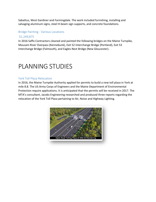Sabattus, West Gardiner and Farmingdale. The work included furnishing, installing and salvaging aluminum signs, steel H-beam sign supports, and concrete foundations.

#### Bridge Painting - [Various Locations](http://www.maineturnpike.com/Projects-Planning/Construction-Projects/2016-09-Bridge-Painting.aspx)

#### \$1,249,875

In 2016 Saffo Contractors cleaned and painted the following bridges on the Maine Turnpike, Mousam River Overpass (Kennebunk), Exit 52 Interchange Bridge (Portland), Exit 53 Interchange Bridge (Falmouth), and Eagles Nest Bridge (New Gloucester).

# PLANNING STUDIES

#### York Toll Plaza Relocation

In 2016, the Maine Turnpike Authority applied for permits to build a new toll plaza in York at mile 8.8. The US Army Corps of Engineers and the Maine Department of Environmental Protection require applications. It is anticipated that the permits will be received in 2017. The MTA's consultant, Jacobs Engineering researched and produced three reports regarding the relocation of the York Toll Plaza pertaining to Air, Noise and Highway Lighting.